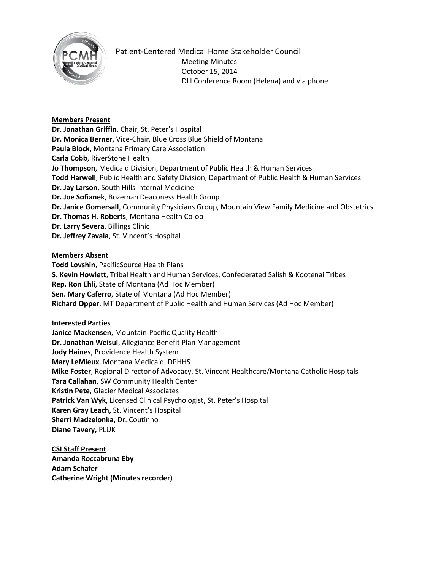

Patient-Centered Medical Home Stakeholder Council Meeting Minutes October 15, 2014 DLI Conference Room (Helena) and via phone

## **Members Present**

**Dr. Jonathan Griffin**, Chair, St. Peter's Hospital **Dr. Monica Berner**, Vice-Chair, Blue Cross Blue Shield of Montana **Paula Block**, Montana Primary Care Association **Carla Cobb**, RiverStone Health **Jo Thompson**, Medicaid Division, Department of Public Health & Human Services **Todd Harwell**, Public Health and Safety Division, Department of Public Health & Human Services **Dr. Jay Larson**, South Hills Internal Medicine **Dr. Joe Sofianek**, Bozeman Deaconess Health Group **Dr. Janice Gomersall**, Community Physicians Group, Mountain View Family Medicine and Obstetrics **Dr. Thomas H. Roberts**, Montana Health Co-op **Dr. Larry Severa**, Billings Clinic **Dr. Jeffrey Zavala**, St. Vincent's Hospital

### **Members Absent**

**Todd Lovshin**, PacificSource Health Plans **S. Kevin Howlett**, Tribal Health and Human Services, Confederated Salish & Kootenai Tribes **Rep. Ron Ehli**, State of Montana (Ad Hoc Member) **Sen. Mary Caferro**, State of Montana (Ad Hoc Member) **Richard Opper**, MT Department of Public Health and Human Services (Ad Hoc Member)

# **Interested Parties**

**Janice Mackensen**, Mountain-Pacific Quality Health **Dr. Jonathan Weisul**, Allegiance Benefit Plan Management **Jody Haines**, Providence Health System **Mary LeMieux**, Montana Medicaid, DPHHS **Mike Foster**, Regional Director of Advocacy, St. Vincent Healthcare/Montana Catholic Hospitals **Tara Callahan,** SW Community Health Center **Kristin Pete**, Glacier Medical Associates **Patrick Van Wyk**, Licensed Clinical Psychologist, St. Peter's Hospital **Karen Gray Leach,** St. Vincent's Hospital **Sherri Madzelonka,** Dr. Coutinho **Diane Tavery,** PLUK

**CSI Staff Present Amanda Roccabruna Eby Adam Schafer Catherine Wright (Minutes recorder)**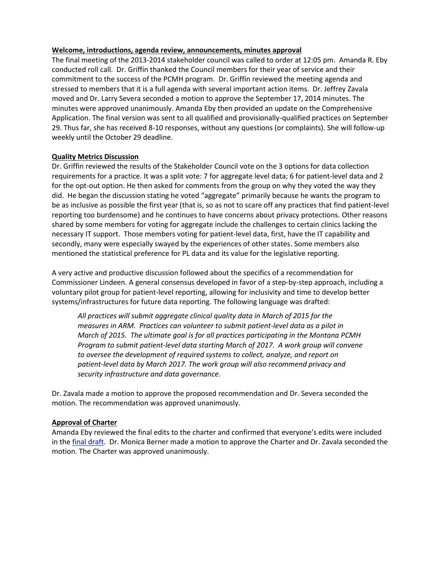#### **Welcome, introductions, agenda review, announcements, minutes approval**

The final meeting of the 2013-2014 stakeholder council was called to order at 12:05 pm. Amanda R. Eby conducted roll call. Dr. Griffin thanked the Council members for their year of service and their commitment to the success of the PCMH program. Dr. Griffin reviewed the meeting agenda and stressed to members that it is a full agenda with several important action items. Dr. Jeffrey Zavala moved and Dr. Larry Severa seconded a motion to approve the September 17, 2014 minutes. The minutes were approved unanimously. Amanda Eby then provided an update on the Comprehensive Application. The final version was sent to all qualified and provisionally-qualified practices on September 29. Thus far, she has received 8-10 responses, without any questions (or complaints). She will follow-up weekly until the October 29 deadline.

### **Quality Metrics Discussion**

Dr. Griffin reviewed the results of the Stakeholder Council vote on the 3 options for data collection requirements for a practice. It was a split vote: 7 for aggregate level data; 6 for patient-level data and 2 for the opt-out option. He then asked for comments from the group on why they voted the way they did. He began the discussion stating he voted "aggregate" primarily because he wants the program to be as inclusive as possible the first year (that is, so as not to scare off any practices that find patient-level reporting too burdensome) and he continues to have concerns about privacy protections. Other reasons shared by some members for voting for aggregate include the challenges to certain clinics lacking the necessary IT support. Those members voting for patient-level data, first, have the IT capability and secondly, many were especially swayed by the experiences of other states. Some members also mentioned the statistical preference for PL data and its value for the legislative reporting.

A very active and productive discussion followed about the specifics of a recommendation for Commissioner Lindeen. A general consensus developed in favor of a step-by-step approach, including a voluntary pilot group for patient-level reporting, allowing for inclusivity and time to develop better systems/infrastructures for future data reporting. The following language was drafted:

*All practices will submit aggregate clinical quality data in March of 2015 for the measures in ARM. Practices can volunteer to submit patient-level data as a pilot in March of 2015. The ultimate goal is for all practices participating in the Montana PCMH Program to submit patient-level data starting March of 2017. A work group will convene to oversee the development of required systems to collect, analyze, and report on patient-level data by March 2017. The work group will also recommend privacy and security infrastructure and data governance.*

Dr. Zavala made a motion to approve the proposed recommendation and Dr. Severa seconded the motion. The recommendation was approved unanimously.

### **Approval of Charter**

Amanda Eby reviewed the final edits to the charter and confirmed that everyone's edits were included in the [final draft.](http://www.wgbh.org/audioPlayers/classicalNewEngland.cfmhttp:/www.csi.mt.gov/medicalhomes/StakeholderCouncil/10152014Meeting/10152014PCMHcouncil_charter.pdf) Dr. Monica Berner made a motion to approve the Charter and Dr. Zavala seconded the motion. The Charter was approved unanimously.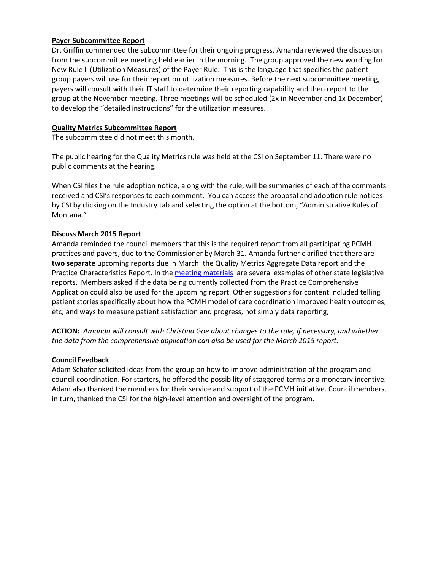### **Payer Subcommittee Report**

Dr. Griffin commended the subcommittee for their ongoing progress. Amanda reviewed the discussion from the subcommittee meeting held earlier in the morning. The group approved the new wording for New Rule ll (Utilization Measures) of the Payer Rule. This is the language that specifies the patient group payers will use for their report on utilization measures. Before the next subcommittee meeting, payers will consult with their IT staff to determine their reporting capability and then report to the group at the November meeting. Three meetings will be scheduled (2x in November and 1x December) to develop the "detailed instructions" for the utilization measures.

### **Quality Metrics Subcommittee Report**

The subcommittee did not meet this month.

The public hearing for the Quality Metrics rule was held at the CSI on September 11. There were no public comments at the hearing.

When CSI files the rule adoption notice, along with the rule, will be summaries of each of the comments received and CSI's responses to each comment. You can access the proposal and adoption rule notices by CSI by clicking on the Industry tab and selecting the option at the bottom, "Administrative Rules of Montana."

## **Discuss March 2015 Report**

Amanda reminded the council members that this is the required report from all participating PCMH practices and payers, due to the Commissioner by March 31. Amanda further clarified that there are **two separate** upcoming reports due in March: the Quality Metrics Aggregate Data report and the Practice Characteristics Report. In the [meeting materials](http://www.csi.mt.gov/medicalhomes/StakeholderCouncilMeetings.asphttp:/www.wgbh.org/audioPlayers/classicalNewEngland.cfm) are several examples of other state legislative reports. Members asked if the data being currently collected from the Practice Comprehensive Application could also be used for the upcoming report. Other suggestions for content included telling patient stories specifically about how the PCMH model of care coordination improved health outcomes, etc; and ways to measure patient satisfaction and progress, not simply data reporting;

**ACTION:** *Amanda will consult with Christina Goe about changes to the rule, if necessary, and whether the data from the comprehensive application can also be used for the March 2015 report.*

### **Council Feedback**

Adam Schafer solicited ideas from the group on how to improve administration of the program and council coordination. For starters, he offered the possibility of staggered terms or a monetary incentive. Adam also thanked the members for their service and support of the PCMH initiative. Council members, in turn, thanked the CSI for the high-level attention and oversight of the program.